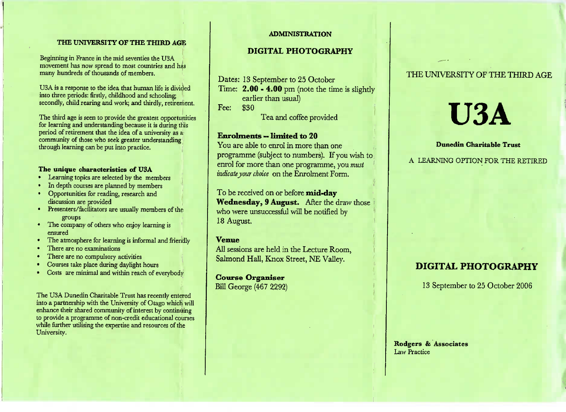### **THE UNIVERSITY OF THE THIRD AGE**

Beginning in France in the mid seventies the USAmovement has now spread to most countries and has movement has now spread to most countries.

USA is a response to the idea that human life is divided into three periods: firstly, childhood and schooling secondly, child rearing and work: and thirdly, retirement,

I he third age is seen to provide the greatest opportunities for learning and understanding because it is during this period of retirement that the idea of a universitcommunity of those who seek greater understanding through learning can be put into practice.

# **The unique characteristics of USA**

- » Learning topics are selected by the members
- In depth courses are planned by members
- Opportunities for reading, research anddiscussion are provided
- **Presenters/facilitators are usually members of the**
- groups The company of others who enjoy learning isensured
- $\frac{1}{1}$  he atmosphere for learning is informal and friendly
- I nere are no examinations
- I nere are no compulsory activities
- Courses take place during daylight hours
- Costs are minimal and within reach of everybody

The USA Dunedin Charitable Trust has recently entered into a partnership with the University of Otago which will enhance their shared community of interest by continuing to provide a programme of non-credit educational courseswhile further utilising the expertise and resources of theUniversity.

#### **ADMINISTRATION**

### **DIGITAL PHOTOGRAPHY**

Dates: 13 September to 25 October

Time:  $2.00 - 4.00$  pm (note the time is slightly

earlier than usual)

Fee: \$30

Tea and coffee provided

### **Enrolments »limited to 20**

 You are able to enrol in more than one programme (subject to numbers). If you wish to enrol for more than one programme, you *mustindicate jour choice* on the Enrolment Form,

To be received on or before **mid-day Wednesday, 9 August.** After the draw those who were unsuccessful will be notified by18 August.

### **Venue**

 All sessions are held in the Lecture Room,Salmond Hall, Knox Street, NE Valley.

# **Course Organiser**

Bill George (467 2292)

### THE UNIVERSITY OF THE THIRD AGE

# **U3A**

### **Dunedin Charitable Trust**

A LEARNING OPTION FOR THE RETIRED

# **DIGITAL PHOTOGRAPHY**

13 September to 25 October 2006

**Rodgers & Associates**Law Practice